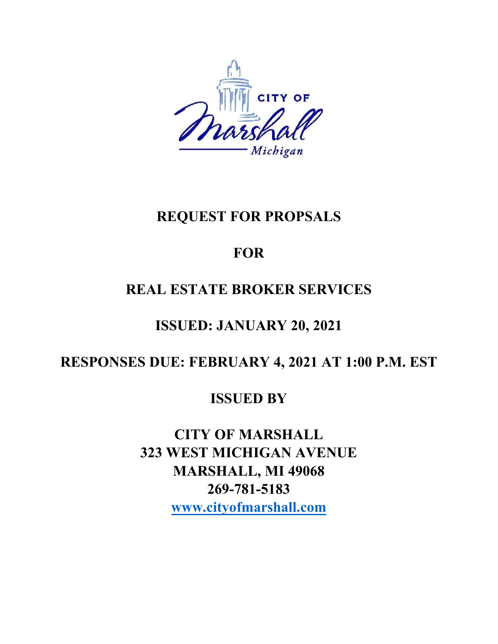

# **REQUEST FOR PROPSALS**

# **FOR**

# **REAL ESTATE BROKER SERVICES**

# **ISSUED: JANUARY 20, 2021**

# **RESPONSES DUE: FEBRUARY 4, 2021 AT 1:00 P.M. EST**

# **ISSUED BY**

**CITY OF MARSHALL 323 WEST MICHIGAN AVENUE MARSHALL, MI 49068 269-781-5183 [www.cityofmarshall.com](http://www.cityofmarshall.com/)**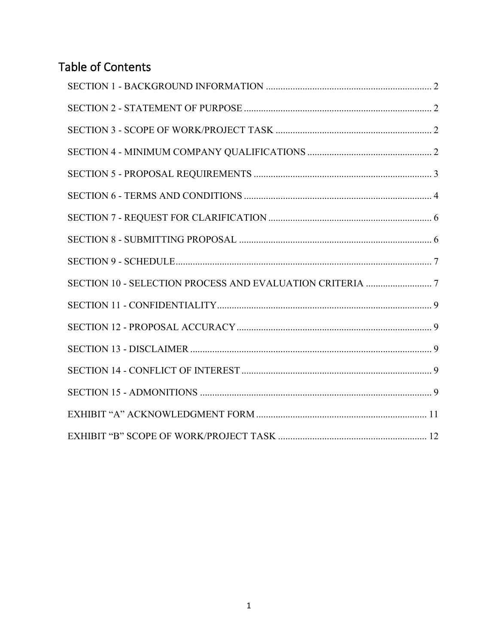# Table of Contents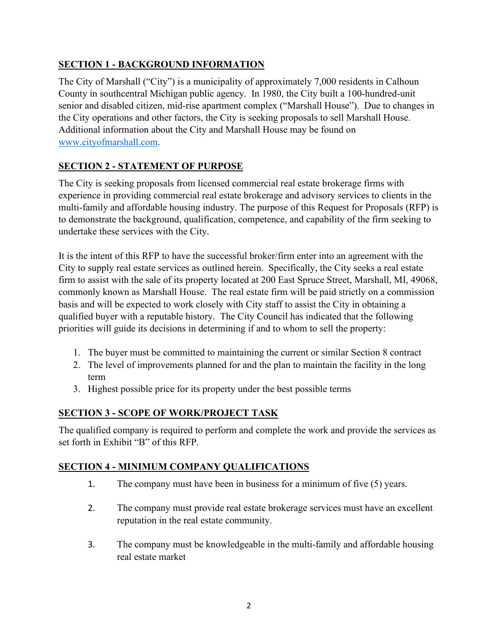# <span id="page-2-0"></span>**SECTION 1 - BACKGROUND INFORMATION**

The City of Marshall ("City") is a municipality of approximately 7,000 residents in Calhoun County in southcentral Michigan public agency. In 1980, the City built a 100-hundred-unit senior and disabled citizen, mid-rise apartment complex ("Marshall House"). Due to changes in the City operations and other factors, the City is seeking proposals to sell Marshall House. Additional information about the City and Marshall House may be found on [www.cityofmarshall.com.](http://www.cityofmarshall.com/)

# <span id="page-2-1"></span>**SECTION 2 - STATEMENT OF PURPOSE**

The City is seeking proposals from licensed commercial real estate brokerage firms with experience in providing commercial real estate brokerage and advisory services to clients in the multi-family and affordable housing industry. The purpose of this Request for Proposals (RFP) is to demonstrate the background, qualification, competence, and capability of the firm seeking to undertake these services with the City.

It is the intent of this RFP to have the successful broker/firm enter into an agreement with the City to supply real estate services as outlined herein. Specifically, the City seeks a real estate firm to assist with the sale of its property located at 200 East Spruce Street, Marshall, MI, 49068, commonly known as Marshall House. The real estate firm will be paid strictly on a commission basis and will be expected to work closely with City staff to assist the City in obtaining a qualified buyer with a reputable history. The City Council has indicated that the following priorities will guide its decisions in determining if and to whom to sell the property:

- 1. The buyer must be committed to maintaining the current or similar Section 8 contract
- 2. The level of improvements planned for and the plan to maintain the facility in the long term
- 3. Highest possible price for its property under the best possible terms

# <span id="page-2-2"></span>**SECTION 3 - SCOPE OF WORK/PROJECT TASK**

The qualified company is required to perform and complete the work and provide the services as set forth in Exhibit "B" of this RFP.

# <span id="page-2-3"></span>**SECTION 4 - MINIMUM COMPANY QUALIFICATIONS**

- 1. The company must have been in business for a minimum of five (5) years.
- 2. The company must provide real estate brokerage services must have an excellent reputation in the real estate community.
- 3. The company must be knowledgeable in the multi-family and affordable housing real estate market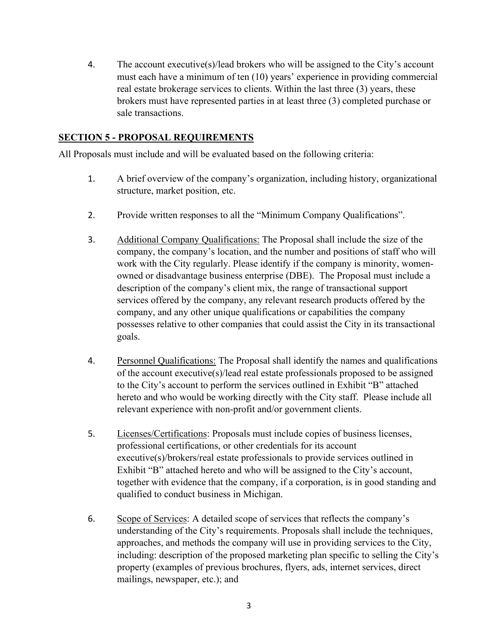4. The account executive(s)/lead brokers who will be assigned to the City's account must each have a minimum of ten (10) years' experience in providing commercial real estate brokerage services to clients. Within the last three (3) years, these brokers must have represented parties in at least three (3) completed purchase or sale transactions.

#### <span id="page-3-0"></span>**SECTION 5 - PROPOSAL REQUIREMENTS**

All Proposals must include and will be evaluated based on the following criteria:

- 1. A brief overview of the company's organization, including history, organizational structure, market position, etc.
- 2. Provide written responses to all the "Minimum Company Qualifications".
- 3. Additional Company Qualifications: The Proposal shall include the size of the company, the company's location, and the number and positions of staff who will work with the City regularly. Please identify if the company is minority, womenowned or disadvantage business enterprise (DBE). The Proposal must include a description of the company's client mix, the range of transactional support services offered by the company, any relevant research products offered by the company, and any other unique qualifications or capabilities the company possesses relative to other companies that could assist the City in its transactional goals.
- 4. Personnel Qualifications: The Proposal shall identify the names and qualifications of the account executive(s)/lead real estate professionals proposed to be assigned to the City's account to perform the services outlined in Exhibit "B" attached hereto and who would be working directly with the City staff. Please include all relevant experience with non-profit and/or government clients.
- 5. Licenses/Certifications: Proposals must include copies of business licenses, professional certifications, or other credentials for its account executive(s)/brokers/real estate professionals to provide services outlined in Exhibit "B" attached hereto and who will be assigned to the City's account, together with evidence that the company, if a corporation, is in good standing and qualified to conduct business in Michigan.
- 6. Scope of Services: A detailed scope of services that reflects the company's understanding of the City's requirements. Proposals shall include the techniques, approaches, and methods the company will use in providing services to the City, including: description of the proposed marketing plan specific to selling the City's property (examples of previous brochures, flyers, ads, internet services, direct mailings, newspaper, etc.); and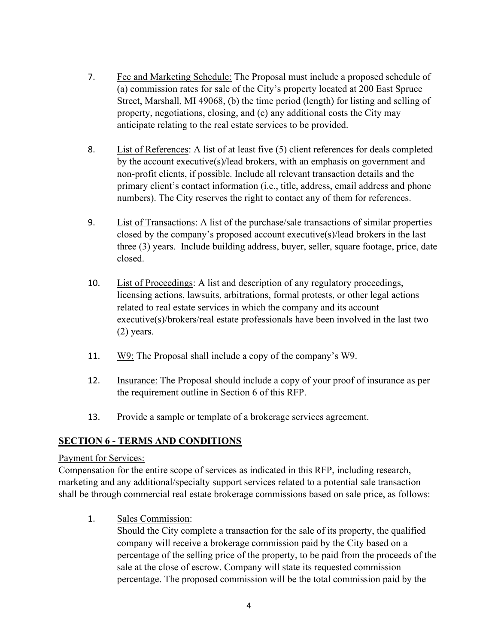- 7. Fee and Marketing Schedule: The Proposal must include a proposed schedule of (a) commission rates for sale of the City's property located at 200 East Spruce Street, Marshall, MI 49068, (b) the time period (length) for listing and selling of property, negotiations, closing, and (c) any additional costs the City may anticipate relating to the real estate services to be provided.
- 8. List of References: A list of at least five (5) client references for deals completed by the account executive(s)/lead brokers, with an emphasis on government and non-profit clients, if possible. Include all relevant transaction details and the primary client's contact information (i.e., title, address, email address and phone numbers). The City reserves the right to contact any of them for references.
- 9. List of Transactions: A list of the purchase/sale transactions of similar properties closed by the company's proposed account executive(s)/lead brokers in the last three (3) years. Include building address, buyer, seller, square footage, price, date closed.
- 10. List of Proceedings: A list and description of any regulatory proceedings, licensing actions, lawsuits, arbitrations, formal protests, or other legal actions related to real estate services in which the company and its account executive(s)/brokers/real estate professionals have been involved in the last two (2) years.
- 11. W9: The Proposal shall include a copy of the company's W9.
- 12. Insurance: The Proposal should include a copy of your proof of insurance as per the requirement outline in Section 6 of this RFP.
- 13. Provide a sample or template of a brokerage services agreement.

# <span id="page-4-0"></span>**SECTION 6 - TERMS AND CONDITIONS**

#### Payment for Services:

Compensation for the entire scope of services as indicated in this RFP, including research, marketing and any additional/specialty support services related to a potential sale transaction shall be through commercial real estate brokerage commissions based on sale price, as follows:

1. Sales Commission:

Should the City complete a transaction for the sale of its property, the qualified company will receive a brokerage commission paid by the City based on a percentage of the selling price of the property, to be paid from the proceeds of the sale at the close of escrow. Company will state its requested commission percentage. The proposed commission will be the total commission paid by the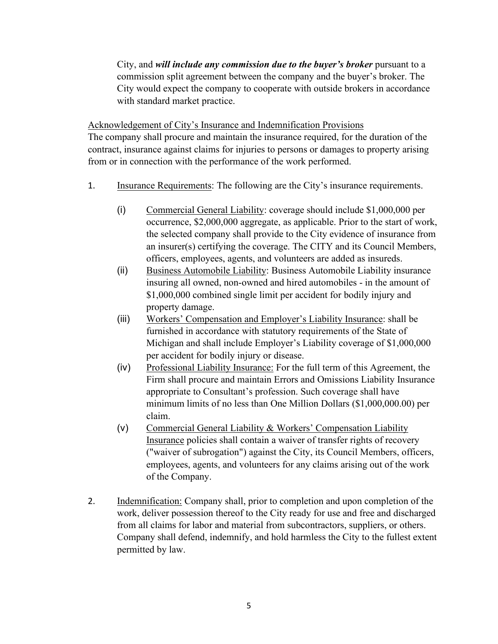City, and *will include any commission due to the buyer's broker* pursuant to a commission split agreement between the company and the buyer's broker. The City would expect the company to cooperate with outside brokers in accordance with standard market practice.

Acknowledgement of City's Insurance and Indemnification Provisions

The company shall procure and maintain the insurance required, for the duration of the contract, insurance against claims for injuries to persons or damages to property arising from or in connection with the performance of the work performed.

- 1. Insurance Requirements: The following are the City's insurance requirements.
	- (i) Commercial General Liability: coverage should include \$1,000,000 per occurrence, \$2,000,000 aggregate, as applicable. Prior to the start of work, the selected company shall provide to the City evidence of insurance from an insurer(s) certifying the coverage. The CITY and its Council Members, officers, employees, agents, and volunteers are added as insureds.
	- (ii) Business Automobile Liability: Business Automobile Liability insurance insuring all owned, non-owned and hired automobiles - in the amount of \$1,000,000 combined single limit per accident for bodily injury and property damage.
	- (iii) Workers' Compensation and Employer's Liability Insurance: shall be furnished in accordance with statutory requirements of the State of Michigan and shall include Employer's Liability coverage of \$1,000,000 per accident for bodily injury or disease.
	- (iv) Professional Liability Insurance: For the full term of this Agreement, the Firm shall procure and maintain Errors and Omissions Liability Insurance appropriate to Consultant's profession. Such coverage shall have minimum limits of no less than One Million Dollars (\$1,000,000.00) per claim.
	- (v) Commercial General Liability & Workers' Compensation Liability Insurance policies shall contain a waiver of transfer rights of recovery ("waiver of subrogation") against the City, its Council Members, officers, employees, agents, and volunteers for any claims arising out of the work of the Company.
- 2. Indemnification: Company shall, prior to completion and upon completion of the work, deliver possession thereof to the City ready for use and free and discharged from all claims for labor and material from subcontractors, suppliers, or others. Company shall defend, indemnify, and hold harmless the City to the fullest extent permitted by law.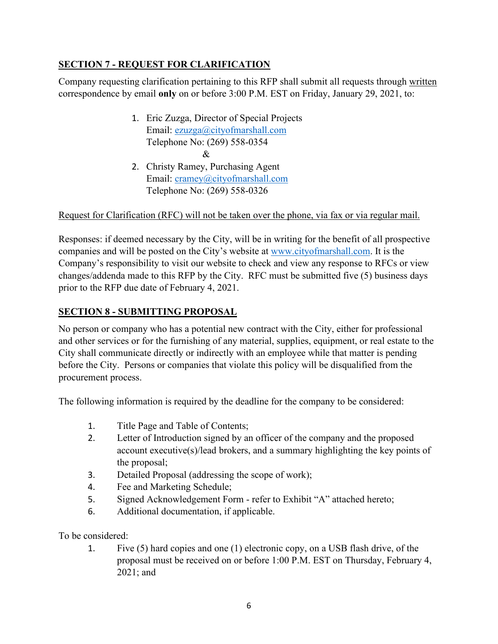# <span id="page-6-0"></span>**SECTION 7 - REQUEST FOR CLARIFICATION**

Company requesting clarification pertaining to this RFP shall submit all requests through written correspondence by email **only** on or before 3:00 P.M. EST on Friday, January 29, 2021, to:

- 1. Eric Zuzga, Director of Special Projects Email: [ezuzga@cityofmarshall.com](mailto:ezuzga@cityofmarshall.com) Telephone No: (269) 558-0354 &
- 2. Christy Ramey, Purchasing Agent Email: [cramey@cityofmarshall.com](mailto:cramey@cityofmarshall.com) Telephone No: (269) 558-0326

#### Request for Clarification (RFC) will not be taken over the phone, via fax or via regular mail.

Responses: if deemed necessary by the City, will be in writing for the benefit of all prospective companies and will be posted on the City's website at [www.cityofmarshall.com.](http://www.cityofmarshall.com/) It is the Company's responsibility to visit our website to check and view any response to RFCs or view changes/addenda made to this RFP by the City. RFC must be submitted five (5) business days prior to the RFP due date of February 4, 2021.

# <span id="page-6-1"></span>**SECTION 8 - SUBMITTING PROPOSAL**

No person or company who has a potential new contract with the City, either for professional and other services or for the furnishing of any material, supplies, equipment, or real estate to the City shall communicate directly or indirectly with an employee while that matter is pending before the City. Persons or companies that violate this policy will be disqualified from the procurement process.

The following information is required by the deadline for the company to be considered:

- 1. Title Page and Table of Contents;
- 2. Letter of Introduction signed by an officer of the company and the proposed account executive(s)/lead brokers, and a summary highlighting the key points of the proposal;
- 3. Detailed Proposal (addressing the scope of work);
- 4. Fee and Marketing Schedule;
- 5. Signed Acknowledgement Form refer to Exhibit "A" attached hereto;
- 6. Additional documentation, if applicable.

To be considered:

1. Five (5) hard copies and one (1) electronic copy, on a USB flash drive, of the proposal must be received on or before 1:00 P.M. EST on Thursday, February 4, 2021; and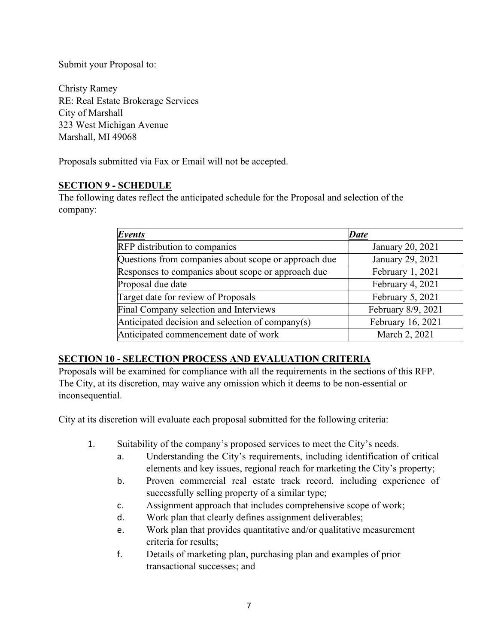Submit your Proposal to:

Christy Ramey RE: Real Estate Brokerage Services City of Marshall 323 West Michigan Avenue Marshall, MI 49068

Proposals submitted via Fax or Email will not be accepted.

#### <span id="page-7-0"></span>**SECTION 9 - SCHEDULE**

The following dates reflect the anticipated schedule for the Proposal and selection of the company:

| Events                                               | <b>Date</b>        |
|------------------------------------------------------|--------------------|
| RFP distribution to companies                        | January 20, 2021   |
| Questions from companies about scope or approach due | January 29, 2021   |
| Responses to companies about scope or approach due   | February 1, 2021   |
| Proposal due date                                    | February 4, 2021   |
| Target date for review of Proposals                  | February 5, 2021   |
| Final Company selection and Interviews               | February 8/9, 2021 |
| Anticipated decision and selection of company(s)     | February 16, 2021  |
| Anticipated commencement date of work                | March 2, 2021      |

#### <span id="page-7-1"></span>**SECTION 10 - SELECTION PROCESS AND EVALUATION CRITERIA**

Proposals will be examined for compliance with all the requirements in the sections of this RFP. The City, at its discretion, may waive any omission which it deems to be non-essential or inconsequential.

City at its discretion will evaluate each proposal submitted for the following criteria:

- 1. Suitability of the company's proposed services to meet the City's needs.
	- a. Understanding the City's requirements, including identification of critical elements and key issues, regional reach for marketing the City's property;
	- b. Proven commercial real estate track record, including experience of successfully selling property of a similar type;
	- c. Assignment approach that includes comprehensive scope of work;
	- d. Work plan that clearly defines assignment deliverables;
	- e. Work plan that provides quantitative and/or qualitative measurement criteria for results;
	- f. Details of marketing plan, purchasing plan and examples of prior transactional successes; and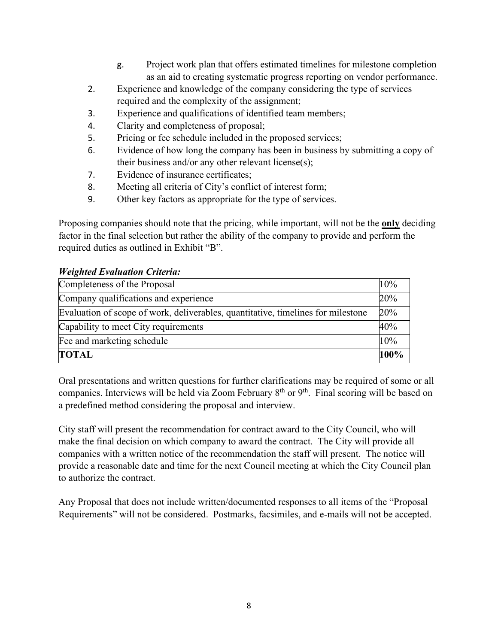- g. Project work plan that offers estimated timelines for milestone completion as an aid to creating systematic progress reporting on vendor performance.
- 2. Experience and knowledge of the company considering the type of services required and the complexity of the assignment;
- 3. Experience and qualifications of identified team members;
- 4. Clarity and completeness of proposal;
- 5. Pricing or fee schedule included in the proposed services;
- 6. Evidence of how long the company has been in business by submitting a copy of their business and/or any other relevant license(s);
- 7. Evidence of insurance certificates;
- 8. Meeting all criteria of City's conflict of interest form;
- 9. Other key factors as appropriate for the type of services.

Proposing companies should note that the pricing, while important, will not be the **only** deciding factor in the final selection but rather the ability of the company to provide and perform the required duties as outlined in Exhibit "B".

#### *Weighted Evaluation Criteria:*

| Completeness of the Proposal                                                     | 10%  |
|----------------------------------------------------------------------------------|------|
| Company qualifications and experience                                            | 20%  |
| Evaluation of scope of work, deliverables, quantitative, timelines for milestone | 20%  |
| Capability to meet City requirements                                             | 40%  |
| Fee and marketing schedule                                                       | 10%  |
| <b>TOTAL</b>                                                                     | 100% |

Oral presentations and written questions for further clarifications may be required of some or all companies. Interviews will be held via Zoom February  $8<sup>th</sup>$  or  $9<sup>th</sup>$ . Final scoring will be based on a predefined method considering the proposal and interview.

City staff will present the recommendation for contract award to the City Council, who will make the final decision on which company to award the contract. The City will provide all companies with a written notice of the recommendation the staff will present. The notice will provide a reasonable date and time for the next Council meeting at which the City Council plan to authorize the contract.

Any Proposal that does not include written/documented responses to all items of the "Proposal Requirements" will not be considered. Postmarks, facsimiles, and e-mails will not be accepted.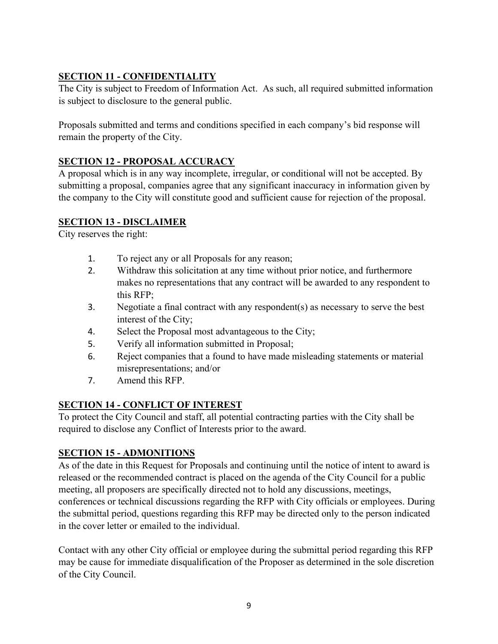# <span id="page-9-0"></span>**SECTION 11 - CONFIDENTIALITY**

The City is subject to Freedom of Information Act. As such, all required submitted information is subject to disclosure to the general public.

Proposals submitted and terms and conditions specified in each company's bid response will remain the property of the City.

# <span id="page-9-1"></span>**SECTION 12 - PROPOSAL ACCURACY**

A proposal which is in any way incomplete, irregular, or conditional will not be accepted. By submitting a proposal, companies agree that any significant inaccuracy in information given by the company to the City will constitute good and sufficient cause for rejection of the proposal.

# <span id="page-9-2"></span>**SECTION 13 - DISCLAIMER**

City reserves the right:

- 1. To reject any or all Proposals for any reason;
- 2. Withdraw this solicitation at any time without prior notice, and furthermore makes no representations that any contract will be awarded to any respondent to this RFP;
- 3. Negotiate a final contract with any respondent(s) as necessary to serve the best interest of the City;
- 4. Select the Proposal most advantageous to the City;
- 5. Verify all information submitted in Proposal;
- 6. Reject companies that a found to have made misleading statements or material misrepresentations; and/or
- 7. Amend this RFP.

# <span id="page-9-3"></span>**SECTION 14 - CONFLICT OF INTEREST**

To protect the City Council and staff, all potential contracting parties with the City shall be required to disclose any Conflict of Interests prior to the award.

# <span id="page-9-4"></span>**SECTION 15 - ADMONITIONS**

As of the date in this Request for Proposals and continuing until the notice of intent to award is released or the recommended contract is placed on the agenda of the City Council for a public meeting, all proposers are specifically directed not to hold any discussions, meetings, conferences or technical discussions regarding the RFP with City officials or employees. During the submittal period, questions regarding this RFP may be directed only to the person indicated in the cover letter or emailed to the individual.

Contact with any other City official or employee during the submittal period regarding this RFP may be cause for immediate disqualification of the Proposer as determined in the sole discretion of the City Council.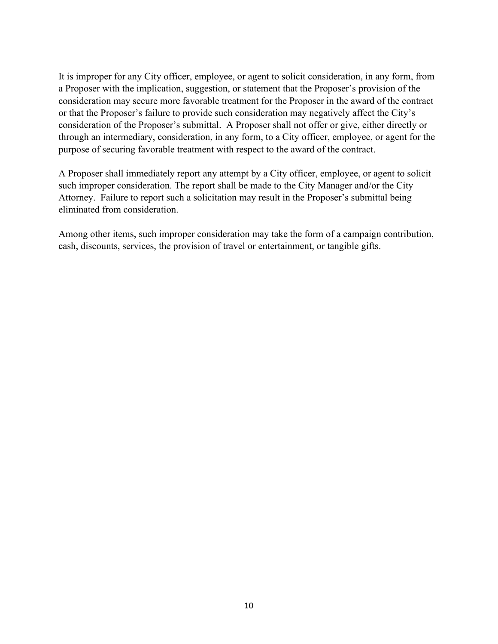It is improper for any City officer, employee, or agent to solicit consideration, in any form, from a Proposer with the implication, suggestion, or statement that the Proposer's provision of the consideration may secure more favorable treatment for the Proposer in the award of the contract or that the Proposer's failure to provide such consideration may negatively affect the City's consideration of the Proposer's submittal. A Proposer shall not offer or give, either directly or through an intermediary, consideration, in any form, to a City officer, employee, or agent for the purpose of securing favorable treatment with respect to the award of the contract.

A Proposer shall immediately report any attempt by a City officer, employee, or agent to solicit such improper consideration. The report shall be made to the City Manager and/or the City Attorney. Failure to report such a solicitation may result in the Proposer's submittal being eliminated from consideration.

Among other items, such improper consideration may take the form of a campaign contribution, cash, discounts, services, the provision of travel or entertainment, or tangible gifts.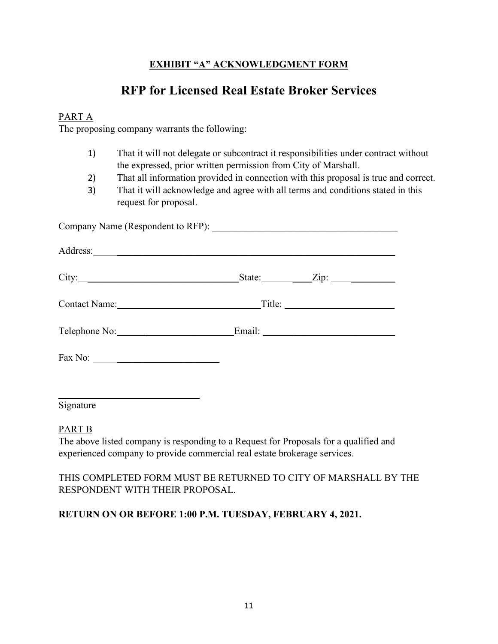# **EXHIBIT "A" ACKNOWLEDGMENT FORM**

# **RFP for Licensed Real Estate Broker Services**

#### <span id="page-11-0"></span>PART A

The proposing company warrants the following:

- 1) That it will not delegate or subcontract it responsibilities under contract without the expressed, prior written permission from City of Marshall.
- 2) That all information provided in connection with this proposal is true and correct.
- 3) That it will acknowledge and agree with all terms and conditions stated in this request for proposal.

Company Name (Respondent to RFP): \_\_\_\_\_\_\_\_\_\_\_\_\_\_\_\_\_\_\_\_\_\_\_\_\_\_\_\_\_\_\_\_\_\_\_\_\_\_ Address: \_\_\_\_\_\_\_\_\_\_\_\_\_\_\_\_\_\_\_\_\_\_\_\_\_\_\_\_\_\_\_\_\_\_\_\_\_\_\_\_\_\_\_\_\_\_\_\_\_\_\_\_\_\_\_\_\_ City: \_\_\_\_\_\_\_\_\_\_\_\_\_\_\_\_\_\_\_\_\_\_\_\_\_\_\_\_\_\_\_State: \_\_\_\_Zip: \_\_\_\_\_\_\_\_\_ Contact Name: \_\_\_\_\_\_\_\_\_\_\_\_\_\_\_\_\_\_\_\_\_ Title: \_\_\_\_\_\_\_\_\_\_\_\_\_\_\_\_\_\_\_\_\_\_ Telephone No: \_\_\_\_\_\_\_\_\_\_\_\_\_\_\_\_\_\_Email: \_\_\_\_\_\_\_\_\_\_\_\_\_\_\_\_\_\_\_\_\_ Fax No:

Signature

PART B

The above listed company is responding to a Request for Proposals for a qualified and experienced company to provide commercial real estate brokerage services.

#### THIS COMPLETED FORM MUST BE RETURNED TO CITY OF MARSHALL BY THE RESPONDENT WITH THEIR PROPOSAL.

# **RETURN ON OR BEFORE 1:00 P.M. TUESDAY, FEBRUARY 4, 2021.**